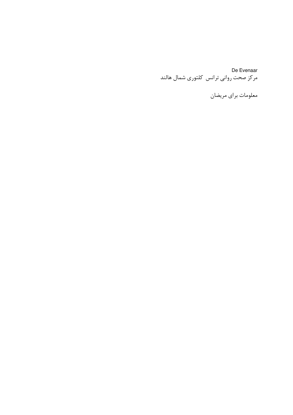De Evenaar 

معلومات براي مريضان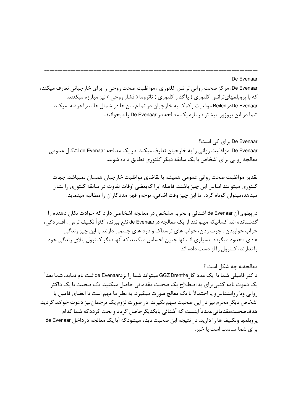## De Evenaar

De Evenaar، مرکز صحت روانی ترانس کلتوری ، مواظبت صحت روحی را برای خارجیانی تعارف میکند، که با پروېلمهایترانس کلتوری ( یا گذار کلتوری ) تاتروما ( فشار روحی ) نیز مبارزه میکنند. De Evenaarدر Beilen موقعیت وکمک به خارجیان در تما م سن ها در شمال هالندرا عرضه میکند. شما در این بروژور بیشتر در باره یک معالجه در De Evenaar را میخوانید.

De Evenaar برای کی است؟ De Evenaar مواظبت روانی را به خارجیان تعارف میکند. در یک معالجه de Evenaar اشکال عمومی معالجه روانی برای اشخاص با یک سابقه دیگر کلتوری تطابق داده شوند.

تقديم مواظبت صحت رواني عمومي هميشه با تقاضاي مواظبت خارجيان همسان نميباشد. جهات كلتوري ميتوانند اساس اين چيز باشند. فاصله ايرا كهبعضي اوقات تفاوت در سابقه كلتوري را نشان میدهد،میتوان کوتاه کرد. اما این چیز وقت اضافی، توجهو فهم مددکاران را مطالبه مینماید.

دریهلویآن de Evenaar آشنائی و تجربه مشخص در معالجه اشخاصی دارد که حوادث تکان دهنده را گذشتانده اند. کسانیکه میتوانند از یک معالجه در de Evenaar نفع ببرند، اکثراً تکلیف ترس ، افسردگی، خراب خوابیدن ، چرت زدن، خواب های ترسناک و درد های جسمی دارند. با این چیز زندگی عادی محدود میگردد. بسیاری انسانها چنین احساس میکنند که آنها دیگر کنترول بالای زندگی خود را ندارند، کنترول را از دست داده اند.

معالحهبه جه شكل است ؟ داكتر فاميلي شما يا يک مدد کار GGZ Drenthe ميتواند شما را نزدde Evenaar ثبت نام نمايد. شما بعداً یک دعوت نامه کتبیبرای به اصطلاح یک صحبت مقدماتی حاصل میکنید. یک صحبت با یک داکتر رواني ويا روانشناسو يا احتمالاً با يک معالج صورت ميگيرد. به نظر ما مهم است تا اعضاي فاميل يا اشخاص دیگر محرم نیز در این صحبت سهم بگیرند. در صورت لزوم یک ترجماننیز دعوت خواهد گردید. هدفصحبتمقدماتی عمدتاً اینست که آشنائی بایکدیگر حاصل گردد و بحث گرددکه شما کدام یروبلمها وتکلیف ها را دارید. در نتیجه این صحبت دیده میشودکه آیا یک معالجه در داخل de Evenaar برای شما مناسب است یا خیر.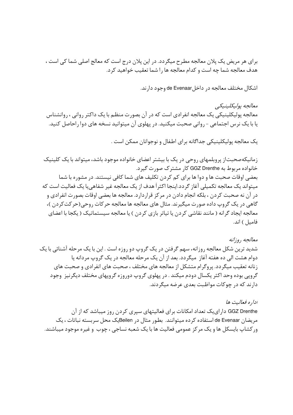برای هر مریض یک پلان معالجه مطرح میگردد. در این پلان درج است که معالج اصلی شما کی است ، هدف معالجه شما چه است و کدام معالجه ها را شما تعقیب خواهید کرد.

اشکال مختلف معالجه در داخلsde Evenaar وجود دارند.

معالجه يوليكلينيكي معالجه پولیکلینیکی یک معالجه انفرادی است که در آن بصورت منظم با یک داکتر روانی ، روانشناس یا با یک نرس اجتماعی - روانی صحبت میکنید. در پهلوی آن میتوانید نسخه های دوا راحاصل کنید.

يک معالجه پوليکلينيکي جداگانه براي اطفال و نوجوانان ممکن است .

زمانیکهصحبتاز پروبلمهای روحی در یک با بیشتر اعضای خانواده موجود باشد، میتواند با یک کلینیک خانواده مربوط به GGZ Drenthe کار مشترک صورت گیرد. بعضی اوقات صحبت ها و دوا ها برای کم کردن تکلیف های شما کافی نیستند. در مشوره با شما میتواند یک معالجه تکمیلی آغاز گردد.اینجا اکثراً هدف از یک معالجه غیر شفاهی یا یک فعالیت است که در آن نه صحبت کردن ، بلکه انجام دادن در مرکز قراردارد. معالجه ها بعضی اوقات بصورت انفرادی و گاهی در یک گروپ داده صورت میگیرند. مثال های معالجه ها معالجه حرکات روحی(حرکتکردن )، معالجه ایجاد گرانه ( مانند نقاشی کردن یا تیاتر بازی کردن ) یا معالجه سیستماتیک ( یکجا با اعضای فاميل ) اند.

معالجه , و; انه شدید ترین شکل معالجه روزانه، سهم گرفتن در یک گروپ دو روزه است . این با یک مرحله آشنائی با یک دوام هشت الی ده هفته آغاز میگردد. بعد از آن یک مرحله معالجه در یک گروپ مردانه یا زنانه تعقیب میگردد. پروگرام متشکل از معالجه های مختلف ، صحبت های انفرادی و صحبت های گروپی بوده وحد اکثر یکسال دودم میکند . در پهلوی گروپ دوروزه گروپهای مختلف دیگرنیز وجود دارند که در چوکات مواظبت بعدی عرضه میگردند.

اداره فعالیت ها GGZ Drenthe دارای یک تعداد امکانات برای فعالیتهای سپری کردن روز میباشد که از آن مريضان de Evenaar استفاده كرده ميتوانند. بطور مثال در Beilenپک محل سربسته نباتات ، يک ورکشاپ بایسکل ها و یک مرکز عمومی فعالیت ها با یک شعبه نساجی ، چوب و غیره موجود میباشند.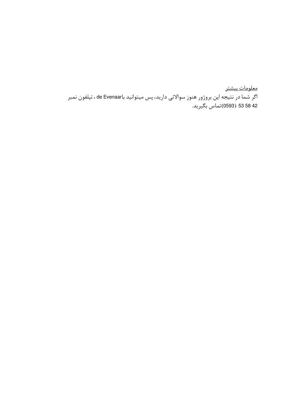معلومات بيشتر اگر شما در نتیجه این بروژور هنوز سوالاتی دارید، پس میتوانید باde Evenaar ، تیلفون نمبر .<br>58 42 53 (0593)تماس بگيريد.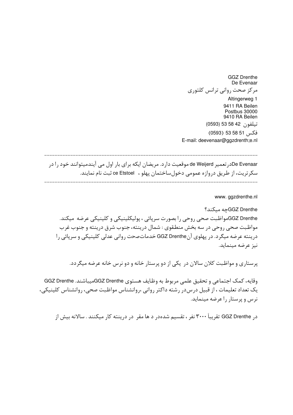**GGZ Drenthe** De Evenaar مرکز صحت روانی ترانس کلتوری Altingerweg 1 9411 RA Beilen Postbus 30000 9410 RA Beilen تيلفون 22 58 53 (0593) فكس 51 58 53 (0593) E-mail: deevenaar@ggzdrenth;e.nl

De Evenaarدر تعمیر de Weijerd موقعیت دارد. مریضان ایکه برای بار اول می آیندمیتوانند خود را در سکرتریت، از طریق دروازه عمومی دخول ساختمان پهلو ، ce Etstoel ثبت نام نمایند.

www.ggzdrenthe.nl

GGZ Drenthe؟ جه میکند؟ GGZ Drentheمواظبت صحى روحي را بصورت سرپائي ، پوليكلينيكي و كلينيكي عرضه ميكند. مواظبت صحی روحی در سه بخش منطقوی : شمال درینته، جنوب شرق درینته و جنوب غرب درينته عرضه ميگرد. در پهلوي آنGGZ Drenthe خدمات صحت رواني عدلي كلينيكي و سريائي را نيز عرضه مينمايد.

پرستاری و مواظبت کلان سالان در یکی از دو پرستار خانه و دو نرس خانه عرضه میگردد.

وقايه، كمك اجتماعي و تحقيق علمي مربوط به وظايف هستوي GGZ Drentheميباشند. GGZ Drenthe یک تعداد تعلیمات ، از قبیل درس در رشته داکتر روانی ،روانشناس مواظبت صحی، روانشناس کلینیکی، نرس و پرستار را عرضه مینماید.

در GGZ Drenthe تقريباً ۳۰۰۰ نفر ، تقسيم شدهدر د ها مقر ٍ در درينته كار ميكنند . سالانه بيش از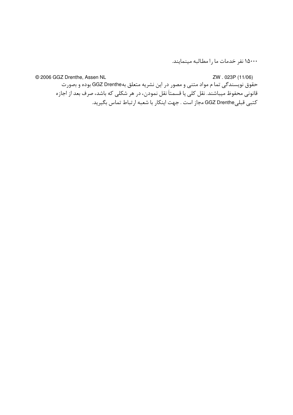۱۵۰۰۰ نفر خدمات ما را مطالبه مینمایند.

ZW.023P (11/06) © 2006 GGZ Drenthe, Assen NL حقُوق نویسندگی تما م مواد متنی و مصور در این نشریه متعلق بهGGZ Drenthe بوده و بصورت قانونی محفوظ میباشند. نقل کلی یا قسمتاً نقل نمودن، در هر شکلی که باشد، صرف بعد از اجازه کتبی قبلیGGZ Drenthe مجاز است . جهت اینکار با شعبه ارتباط تماس بگیرید.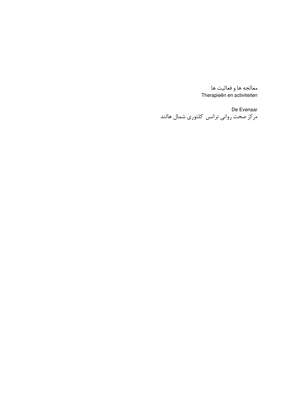معالجه ها و فعاليت ها Therapieën en activiteiten

De Evenaar ------------<br>مرکز صحت روانی ترانس کلتوری شمال هالند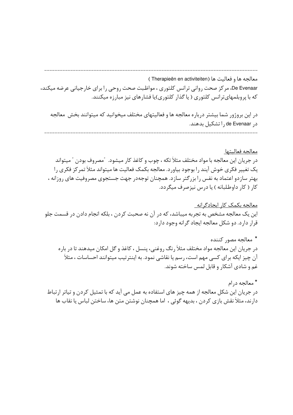( Therapieën en activiteiten ) معالجه ها و فعاليت ها De Evenaar، مرکز صحت روانی ترانس کلتوری ، مواظبت صحت روحی را برای خارجیانی عرضه میکند، که با پروبلمهایترانس کلتوری ( یا گذار کلتوری)یا فشارهای نیز مبارزه میکنند.

در این بروژور شما بیشتر درباره معالجه ها و فعالیتهای مختلف میخوانید که میتوانند بخش معالجه د, de Evenaar , اتشکیل بدهند.

معالجه فعاليتها در جریان این معالجه با مواد مختلف مثلاً تکه ، چوب و کاغذ کار میشود. "مصروف بودن " میتواند یک تغییر فکری خوش آیند را بوجود بیاورد. معالجه بکمک فعالیت ها میتواند مثلاً تمر کز فکری را بهتر سازدو اعتماد به نفس را بزرگتر سازد. همچنان توجهدر جهت جستجوی مصروفیت های روزانه ، کار ( کار داوطلبانه ) یا درس نیز صرف میگردد.

معالجه بکمک کار ایجادگرانه این یک معالجه مشخص به تجربه میباشد، که در آن نه صحبت کردن ، بلکه انجام دادن در قسمت جلو قرار دارد. دو شکل معالجه ایجاد گرانه وجود دارد:

\* معالجه مصور كننده در جریان این معالجه مواد مختلف مثلاً رنگ روغنی، پنسل ، کاغذ و گل امکان میدهند تا در باره آن چیز ایکه برای کسی مهم است، رسم یا نقاشی نمود. به اینترتیب میتوانند احساسات ، مثلاً غم و شادی آشکار و قابل لمس ساخته شوند.

\* معالجه در ام در جریان این شکل معالجه از همه چیز های استفاده به عمل می آید که با تمثیل کردن و تیاتر ارتباط دارند، مثلاً نقش بازی کردن ، بدیهه گوئی ، اما همچنان نوشتن متن ها، ساختن لباس یا نقاب ها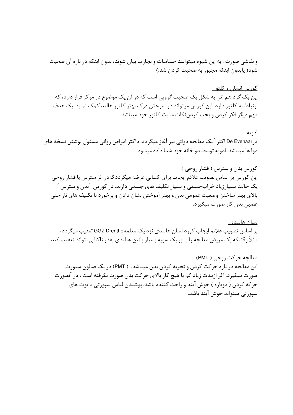و نقاشی صورت . به این شیوه میتواننداحساسات و تجارب بیان شوند، بدون اینکه در باره آن صحبت شود( یابدون اینکه مجبور به صحبت کردن شد.)

<u>کورس انسان و کلتور </u> این یک گرد هم آئی به شکل یک صحبت گرویی است که در آن یک موضوع در مرکز قرار دارد، که ارتباط به کلتور دارد. این کورس میتواند در آموختن درک بهتر کلتور هالند کمک نماید. یک هدف مهم دیگر فکر کردن و بحث کردننکات مثبت کلتور خود میباشد.

ادويه درDe Evenaar اکثراً یک معالجه دوائی نیز آغاز میگردد. داکتر امراض روانی مسئول نوشتن نسخه های دوا ها میباشد. ادویه توسط دواخانه خود شما داده میشود.

کورس بدن و سترس ( فشار روحی ) این کورس بر اساس تصویب علائم ایجاب برای کسانی عرضه میگرددکهدر اثر سترس یا فشار روحی یک حالت بسیارزیاد خرابجسمی و بسیار تکلیف های جسمی دارند. در کورس ″بدن و سترس بالای بهتر ساختن وضعیت عمومی بدن و بهتر آموختن نشان دادن و برخورد با تکلیف های ناراحتی عصبے بدن کار صورت میگیرد.

<u>لسان هالندی۔</u> بر اساس تصویب علائم ایجاب کورد لسان هالندی نزد یک معلمهGGZ Drenthe تعقیب میگردد، مثلاً وقتیکه یک مریض معالجه را بنابر یک سویه بسیار پائین هالندی بقدر ناکافی بتواند تعقیب کند.

<u>معالجه حرکت روحي ( PMT)</u> این معالجه در باره حرکت کردن و تجربه کردن بدن میباشد. ( PMT) در یک صالون سپورت صورت میگیرد. اگر ازمدت زیاد کم یا هیچ کار بالای حرکت بدن صورت نگرفته است ، در آنصورت حر که کردن ( دوباره ) خوش آیند و راحت کننده باشد. پوشیدن لباس سپورتی یا بوت های سیورتی میتواند خوش آیند باشد.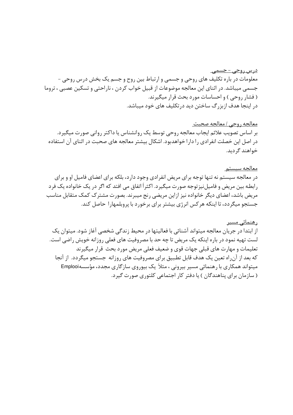<u>درس روحي – جسمے</u> معلومات در باره تکلیف های روحی و جسمی و ارتباط بین روح و جسم یک بخش درس روحی -جسمی میباشد. در اثنای این معالجه موضوعات از قبیل خواب کردن ، ناراحتی و تسکین عصبی ، تروما (فشار روحی) و احساسات مورد بحث قرار میگیرند. در اینجا هدف ازبزرگ ساختن دید در تکلیف های خود میباشد.

<u>معالجه روحی / معالجه صحبت</u> بر اساس تصویب علائم ایجاب معالجه روحی توسط یک روانشناس یا داکتر روانی صورت میگیرد. در اصل این خصلت انفرادی را دارا خواهدبود. اشکال بیشتر معالجه های صحبت در اثنای آن استفاده خواهند گردىد.

<u>معالجه سيستم</u> در معالجه سیستم نه تنها توجه برای مریض انفرادی وجود دارد، بلکه برای اعضای فامیل او و برای رابطه بين مريض و فاميل نيز توجه صورت ميگيرد. اكثراً اتفاق مي افتد كه اگر در يک خانواده يک فرد مریض باشد، اعضای دیگر خانواده نیز ازاین مریضی رنج میبرند. بصورت مشترک کمک متقابل مناسب جستجو میگردد، تا اینکه هر کس انرژی بیشتر برای برخورد با پروبلمهارا حاصل کند.

<u>رهنمائی مسیر</u> از ابتدا در جریان معالجه میتواند آشنائی با فعالیتها در محیط زندگی شخصی آغاز شود. میتوان یک لست تهیه نمود در باره اینکه یک مریض تا چه حد با مصروفیت های فعلی روزانه خویش راضی است. تعلیمات و مهارت های قبلی جهات قوی و ضعیف فعلی مریض مورد بحث قرار میگیرند که بعد از آن راه تعین یک هدف قابل تطبیق برای مصروفیت های روزانه جستجو میگردد. از آنجا میتواند همکاری با رهنمائی مسیر بیرونی ، مثلاً یک بیوروی سازگاری مجدد، مؤسسهFmplooi (سازمان برای پناهندگان) یا دفتر کار اجتماعی کلتوری صورت گیرد.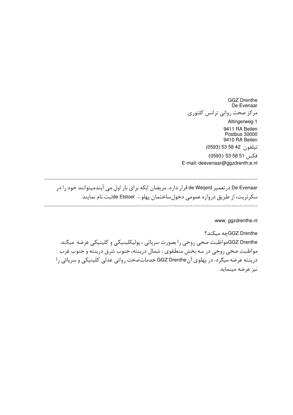**GGZ Drenthe** De Evenaar مركز صحت رواني ترانس كلتوري Altingerweg 1 9411 RA Beilen Postbus 30000 9410 RA Beilen تيلفون 52 58 53 (0593) فكس 51 58 (0593)

E-mail: deevenaar@ggzdrenth;e.nl

De Evenaar درتعمیر de Weijerd قرار دارد. مریضان ایکه برای بار اول می آیندمیتوانند خود را در سکرتریت، از طریق دروازه عمومی دخول ساختمان پهلو ، de Etstoelنبت نام نمایند.

www.ggzdrenthe.nl

GGZ Drenthe؟ جه میکند؟ GGZ Drentheمواظبت صحي روحي را بصورت سرپائي ، پوليكلينيكي و كلينيكي عرضه ميكند. مواظبت صحی روحی در سه بخش منطقوی : شمال درینته، جنوب شرق درینته و جنوب غرب درینته عرضه میگرد. در پهلوی آنGGZ Drenthe خدمات صحت روانی عدلی کلینیکی و سرپائی را نيز عرضه مينمايد.